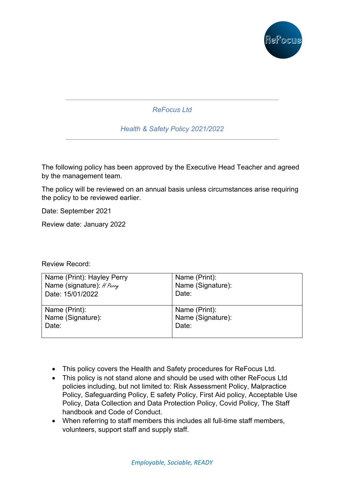

*ReFocus Ltd*

*Health & Safety Policy 2021/2022*

The following policy has been approved by the Executive Head Teacher and agreed by the management team.

The policy will be reviewed on an annual basis unless circumstances arise requiring the policy to be reviewed earlier.

Date: September 2021

Review date: January 2022

### Review Record:

| Name (Print): Hayley Perry | Name (Print):     |
|----------------------------|-------------------|
| Name (signature): # Perry  | Name (Signature): |
| Date: 15/01/2022           | Date:             |
| Name (Print):              | Name (Print):     |
| Name (Signature):          | Name (Signature): |
| Date:                      | Date:             |

- This policy covers the Health and Safety procedures for ReFocus Ltd.
- This policy is not stand alone and should be used with other ReFocus Ltd policies including, but not limited to: Risk Assessment Policy, Malpractice Policy, Safeguarding Policy, E safety Policy, First Aid policy, Acceptable Use Policy, Data Collection and Data Protection Policy, Covid Policy, The Staff handbook and Code of Conduct.
- When referring to staff members this includes all full-time staff members, volunteers, support staff and supply staff.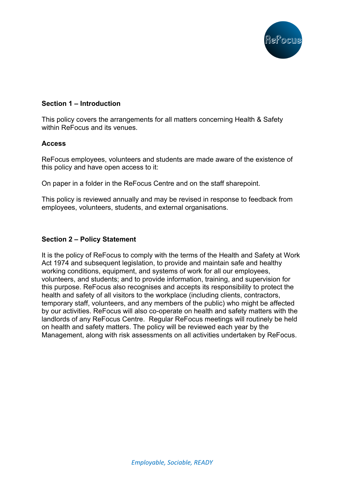

## **Section 1 – Introduction**

This policy covers the arrangements for all matters concerning Health & Safety within ReFocus and its venues.

#### **Access**

ReFocus employees, volunteers and students are made aware of the existence of this policy and have open access to it:

On paper in a folder in the ReFocus Centre and on the staff sharepoint.

This policy is reviewed annually and may be revised in response to feedback from employees, volunteers, students, and external organisations.

#### **Section 2 – Policy Statement**

It is the policy of ReFocus to comply with the terms of the Health and Safety at Work Act 1974 and subsequent legislation, to provide and maintain safe and healthy working conditions, equipment, and systems of work for all our employees, volunteers, and students; and to provide information, training, and supervision for this purpose. ReFocus also recognises and accepts its responsibility to protect the health and safety of all visitors to the workplace (including clients, contractors, temporary staff, volunteers, and any members of the public) who might be affected by our activities. ReFocus will also co-operate on health and safety matters with the landlords of any ReFocus Centre. Regular ReFocus meetings will routinely be held on health and safety matters. The policy will be reviewed each year by the Management, along with risk assessments on all activities undertaken by ReFocus.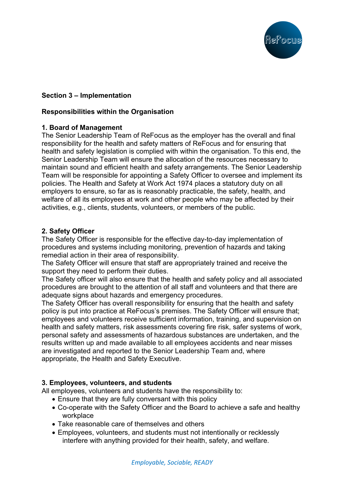

# **Section 3 – Implementation**

## **Responsibilities within the Organisation**

### **1. Board of Management**

The Senior Leadership Team of ReFocus as the employer has the overall and final responsibility for the health and safety matters of ReFocus and for ensuring that health and safety legislation is complied with within the organisation. To this end, the Senior Leadership Team will ensure the allocation of the resources necessary to maintain sound and efficient health and safety arrangements. The Senior Leadership Team will be responsible for appointing a Safety Officer to oversee and implement its policies. The Health and Safety at Work Act 1974 places a statutory duty on all employers to ensure, so far as is reasonably practicable, the safety, health, and welfare of all its employees at work and other people who may be affected by their activities, e.g., clients, students, volunteers, or members of the public.

## **2. Safety Officer**

The Safety Officer is responsible for the effective day-to-day implementation of procedures and systems including monitoring, prevention of hazards and taking remedial action in their area of responsibility.

The Safety Officer will ensure that staff are appropriately trained and receive the support they need to perform their duties.

The Safety officer will also ensure that the health and safety policy and all associated procedures are brought to the attention of all staff and volunteers and that there are adequate signs about hazards and emergency procedures.

The Safety Officer has overall responsibility for ensuring that the health and safety policy is put into practice at ReFocus's premises. The Safety Officer will ensure that; employees and volunteers receive sufficient information, training, and supervision on health and safety matters, risk assessments covering fire risk, safer systems of work, personal safety and assessments of hazardous substances are undertaken, and the results written up and made available to all employees accidents and near misses are investigated and reported to the Senior Leadership Team and, where appropriate, the Health and Safety Executive.

# **3. Employees, volunteers, and students**

All employees, volunteers and students have the responsibility to:

- Ensure that they are fully conversant with this policy
- Co-operate with the Safety Officer and the Board to achieve a safe and healthy workplace
- Take reasonable care of themselves and others
- Employees, volunteers, and students must not intentionally or recklessly interfere with anything provided for their health, safety, and welfare.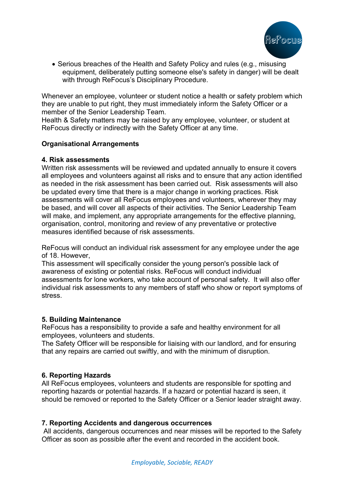

• Serious breaches of the Health and Safety Policy and rules (e.g., misusing equipment, deliberately putting someone else's safety in danger) will be dealt with through ReFocus's Disciplinary Procedure.

Whenever an employee, volunteer or student notice a health or safety problem which they are unable to put right, they must immediately inform the Safety Officer or a member of the Senior Leadership Team.

Health & Safety matters may be raised by any employee, volunteer, or student at ReFocus directly or indirectly with the Safety Officer at any time.

## **Organisational Arrangements**

### **4. Risk assessments**

Written risk assessments will be reviewed and updated annually to ensure it covers all employees and volunteers against all risks and to ensure that any action identified as needed in the risk assessment has been carried out. Risk assessments will also be updated every time that there is a major change in working practices. Risk assessments will cover all ReFocus employees and volunteers, wherever they may be based, and will cover all aspects of their activities. The Senior Leadership Team will make, and implement, any appropriate arrangements for the effective planning, organisation, control, monitoring and review of any preventative or protective measures identified because of risk assessments.

ReFocus will conduct an individual risk assessment for any employee under the age of 18. However,

This assessment will specifically consider the young person's possible lack of awareness of existing or potential risks. ReFocus will conduct individual assessments for lone workers, who take account of personal safety. It will also offer individual risk assessments to any members of staff who show or report symptoms of stress.

### **5. Building Maintenance**

ReFocus has a responsibility to provide a safe and healthy environment for all employees, volunteers and students.

The Safety Officer will be responsible for liaising with our landlord, and for ensuring that any repairs are carried out swiftly, and with the minimum of disruption.

# **6. Reporting Hazards**

All ReFocus employees, volunteers and students are responsible for spotting and reporting hazards or potential hazards. If a hazard or potential hazard is seen, it should be removed or reported to the Safety Officer or a Senior leader straight away.

### **7. Reporting Accidents and dangerous occurrences**

All accidents, dangerous occurrences and near misses will be reported to the Safety Officer as soon as possible after the event and recorded in the accident book.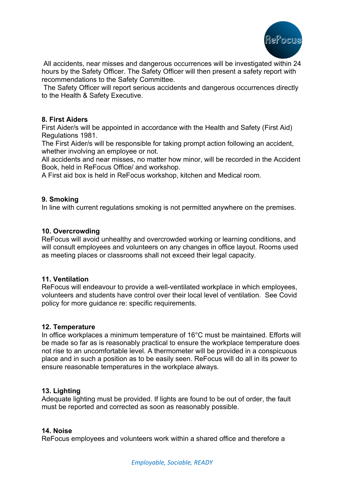

All accidents, near misses and dangerous occurrences will be investigated within 24 hours by the Safety Officer. The Safety Officer will then present a safety report with recommendations to the Safety Committee.

The Safety Officer will report serious accidents and dangerous occurrences directly to the Health & Safety Executive.

### **8. First Aiders**

First Aider/s will be appointed in accordance with the Health and Safety (First Aid) Regulations 1981.

The First Aider/s will be responsible for taking prompt action following an accident, whether involving an employee or not.

All accidents and near misses, no matter how minor, will be recorded in the Accident Book, held in ReFocus Office/ and workshop.

A First aid box is held in ReFocus workshop, kitchen and Medical room.

## **9. Smoking**

In line with current regulations smoking is not permitted anywhere on the premises.

### **10. Overcrowding**

ReFocus will avoid unhealthy and overcrowded working or learning conditions, and will consult employees and volunteers on any changes in office layout. Rooms used as meeting places or classrooms shall not exceed their legal capacity.

### **11. Ventilation**

ReFocus will endeavour to provide a well-ventilated workplace in which employees, volunteers and students have control over their local level of ventilation. See Covid policy for more guidance re: specific requirements.

### **12. Temperature**

In office workplaces a minimum temperature of 16°C must be maintained. Efforts will be made so far as is reasonably practical to ensure the workplace temperature does not rise to an uncomfortable level. A thermometer will be provided in a conspicuous place and in such a position as to be easily seen. ReFocus will do all in its power to ensure reasonable temperatures in the workplace always.

### **13. Lighting**

Adequate lighting must be provided. If lights are found to be out of order, the fault must be reported and corrected as soon as reasonably possible.

#### **14. Noise**

ReFocus employees and volunteers work within a shared office and therefore a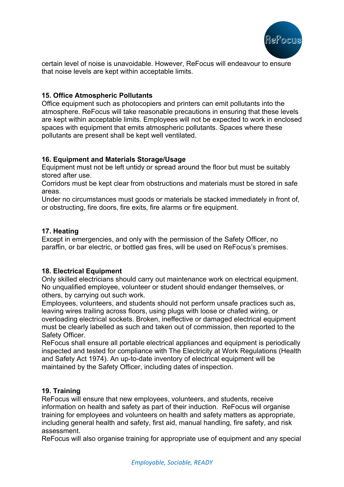

certain level of noise is unavoidable. However, ReFocus will endeavour to ensure that noise levels are kept within acceptable limits.

## **15. Office Atmospheric Pollutants**

Office equipment such as photocopiers and printers can emit pollutants into the atmosphere. ReFocus will take reasonable precautions in ensuring that these levels are kept within acceptable limits. Employees will not be expected to work in enclosed spaces with equipment that emits atmospheric pollutants. Spaces where these pollutants are present shall be kept well ventilated.

## **16. Equipment and Materials Storage/Usage**

Equipment must not be left untidy or spread around the floor but must be suitably stored after use.

Corridors must be kept clear from obstructions and materials must be stored in safe areas.

Under no circumstances must goods or materials be stacked immediately in front of, or obstructing, fire doors, fire exits, fire alarms or fire equipment.

### **17. Heating**

Except in emergencies, and only with the permission of the Safety Officer, no paraffin, or bar electric, or bottled gas fires, will be used on ReFocus's premises.

# **18. Electrical Equipment**

Only skilled electricians should carry out maintenance work on electrical equipment. No unqualified employee, volunteer or student should endanger themselves, or others, by carrying out such work.

Employees, volunteers, and students should not perform unsafe practices such as, leaving wires trailing across floors, using plugs with loose or chafed wiring, or overloading electrical sockets. Broken, ineffective or damaged electrical equipment must be clearly labelled as such and taken out of commission, then reported to the Safety Officer.

ReFocus shall ensure all portable electrical appliances and equipment is periodically inspected and tested for compliance with The Electricity at Work Regulations (Health and Safety Act 1974). An up-to-date inventory of electrical equipment will be maintained by the Safety Officer, including dates of inspection.

### **19. Training**

ReFocus will ensure that new employees, volunteers, and students, receive information on health and safety as part of their induction. ReFocus will organise training for employees and volunteers on health and safety matters as appropriate, including general health and safety, first aid, manual handling, fire safety, and risk assessment.

ReFocus will also organise training for appropriate use of equipment and any special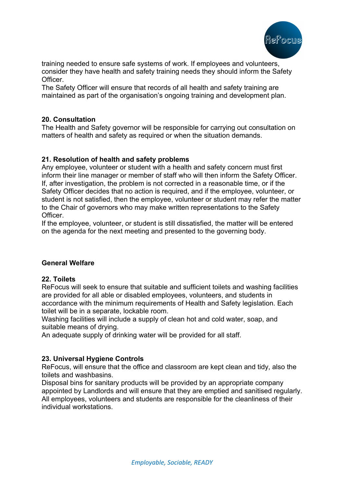

training needed to ensure safe systems of work. If employees and volunteers, consider they have health and safety training needs they should inform the Safety Officer.

The Safety Officer will ensure that records of all health and safety training are maintained as part of the organisation's ongoing training and development plan.

## **20. Consultation**

The Health and Safety governor will be responsible for carrying out consultation on matters of health and safety as required or when the situation demands.

# **21. Resolution of health and safety problems**

Any employee, volunteer or student with a health and safety concern must first inform their line manager or member of staff who will then inform the Safety Officer. If, after investigation, the problem is not corrected in a reasonable time, or if the Safety Officer decides that no action is required, and if the employee, volunteer, or student is not satisfied, then the employee, volunteer or student may refer the matter to the Chair of governors who may make written representations to the Safety Officer.

If the employee, volunteer, or student is still dissatisfied, the matter will be entered on the agenda for the next meeting and presented to the governing body.

# **General Welfare**

### **22. Toilets**

ReFocus will seek to ensure that suitable and sufficient toilets and washing facilities are provided for all able or disabled employees, volunteers, and students in accordance with the minimum requirements of Health and Safety legislation. Each toilet will be in a separate, lockable room.

Washing facilities will include a supply of clean hot and cold water, soap, and suitable means of drying.

An adequate supply of drinking water will be provided for all staff.

### **23. Universal Hygiene Controls**

ReFocus, will ensure that the office and classroom are kept clean and tidy, also the toilets and washbasins.

Disposal bins for sanitary products will be provided by an appropriate company appointed by Landlords and will ensure that they are emptied and sanitised regularly. All employees, volunteers and students are responsible for the cleanliness of their individual workstations.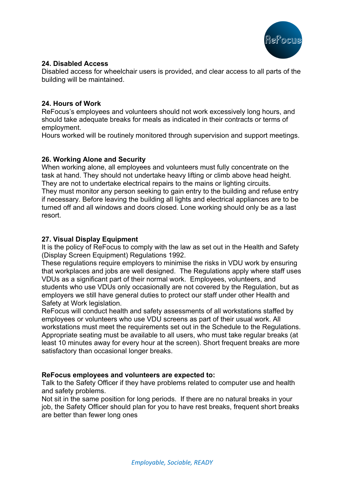

## **24. Disabled Access**

Disabled access for wheelchair users is provided, and clear access to all parts of the building will be maintained.

## **24. Hours of Work**

ReFocus's employees and volunteers should not work excessively long hours, and should take adequate breaks for meals as indicated in their contracts or terms of employment.

Hours worked will be routinely monitored through supervision and support meetings.

# **26. Working Alone and Security**

When working alone, all employees and volunteers must fully concentrate on the task at hand. They should not undertake heavy lifting or climb above head height. They are not to undertake electrical repairs to the mains or lighting circuits.

They must monitor any person seeking to gain entry to the building and refuse entry if necessary. Before leaving the building all lights and electrical appliances are to be turned off and all windows and doors closed. Lone working should only be as a last resort.

# **27. Visual Display Equipment**

It is the policy of ReFocus to comply with the law as set out in the Health and Safety (Display Screen Equipment) Regulations 1992.

These regulations require employers to minimise the risks in VDU work by ensuring that workplaces and jobs are well designed. The Regulations apply where staff uses VDUs as a significant part of their normal work. Employees, volunteers, and students who use VDUs only occasionally are not covered by the Regulation, but as employers we still have general duties to protect our staff under other Health and Safety at Work legislation.

ReFocus will conduct health and safety assessments of all workstations staffed by employees or volunteers who use VDU screens as part of their usual work. All workstations must meet the requirements set out in the Schedule to the Regulations. Appropriate seating must be available to all users, who must take regular breaks (at least 10 minutes away for every hour at the screen). Short frequent breaks are more satisfactory than occasional longer breaks.

# **ReFocus employees and volunteers are expected to:**

Talk to the Safety Officer if they have problems related to computer use and health and safety problems.

Not sit in the same position for long periods. If there are no natural breaks in your job, the Safety Officer should plan for you to have rest breaks, frequent short breaks are better than fewer long ones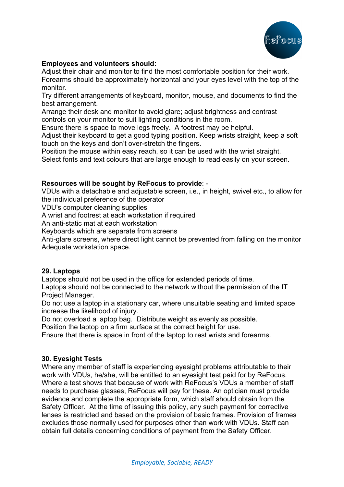

## **Employees and volunteers should:**

Adjust their chair and monitor to find the most comfortable position for their work. Forearms should be approximately horizontal and your eyes level with the top of the monitor.

Try different arrangements of keyboard, monitor, mouse, and documents to find the best arrangement.

Arrange their desk and monitor to avoid glare; adjust brightness and contrast controls on your monitor to suit lighting conditions in the room.

Ensure there is space to move legs freely. A footrest may be helpful.

Adjust their keyboard to get a good typing position. Keep wrists straight, keep a soft touch on the keys and don't over-stretch the fingers.

Position the mouse within easy reach, so it can be used with the wrist straight.

Select fonts and text colours that are large enough to read easily on your screen.

### **Resources will be sought by ReFocus to provide**: -

VDUs with a detachable and adjustable screen, i.e., in height, swivel etc., to allow for the individual preference of the operator

VDU's computer cleaning supplies

A wrist and footrest at each workstation if required

An anti-static mat at each workstation

Keyboards which are separate from screens

Anti-glare screens, where direct light cannot be prevented from falling on the monitor Adequate workstation space.

#### **29. Laptops**

Laptops should not be used in the office for extended periods of time.

Laptops should not be connected to the network without the permission of the IT Project Manager.

Do not use a laptop in a stationary car, where unsuitable seating and limited space increase the likelihood of injury.

Do not overload a laptop bag. Distribute weight as evenly as possible.

Position the laptop on a firm surface at the correct height for use.

Ensure that there is space in front of the laptop to rest wrists and forearms.

### **30. Eyesight Tests**

Where any member of staff is experiencing eyesight problems attributable to their work with VDUs, he/she, will be entitled to an eyesight test paid for by ReFocus. Where a test shows that because of work with ReFocus's VDUs a member of staff needs to purchase glasses, ReFocus will pay for these. An optician must provide evidence and complete the appropriate form, which staff should obtain from the Safety Officer. At the time of issuing this policy, any such payment for corrective lenses is restricted and based on the provision of basic frames. Provision of frames excludes those normally used for purposes other than work with VDUs. Staff can obtain full details concerning conditions of payment from the Safety Officer.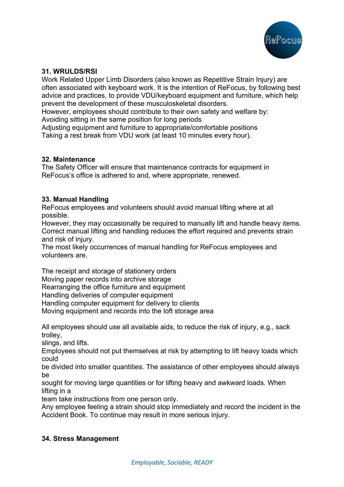

## **31. WRULDS/RSI**

Work Related Upper Limb Disorders (also known as Repetitive Strain Injury) are often associated with keyboard work. It is the intention of ReFocus, by following best advice and practices, to provide VDU/keyboard equipment and furniture, which help prevent the development of these musculoskeletal disorders.

However, employees should contribute to their own safety and welfare by: Avoiding sitting in the same position for long periods

Adjusting equipment and furniture to appropriate/comfortable positions Taking a rest break from VDU work (at least 10 minutes every hour).

### **32. Maintenance**

The Safety Officer will ensure that maintenance contracts for equipment in ReFocus's office is adhered to and, where appropriate, renewed.

## **33. Manual Handling**

ReFocus employees and volunteers should avoid manual lifting where at all possible.

However, they may occasionally be required to manually lift and handle heavy items. Correct manual lifting and handling reduces the effort required and prevents strain and risk of injury.

The most likely occurrences of manual handling for ReFocus employees and volunteers are.

The receipt and storage of stationery orders

Moving paper records into archive storage

Rearranging the office furniture and equipment

Handling deliveries of computer equipment

Handling computer equipment for delivery to clients

Moving equipment and records into the loft storage area

All employees should use all available aids, to reduce the risk of injury, e.g., sack trolley,

slings, and lifts.

Employees should not put themselves at risk by attempting to lift heavy loads which could

be divided into smaller quantities. The assistance of other employees should always be

sought for moving large quantities or for lifting heavy and awkward loads. When lifting in a

team take instructions from one person only.

Any employee feeling a strain should stop immediately and record the incident in the Accident Book. To continue may result in more serious injury.

### **34. Stress Management**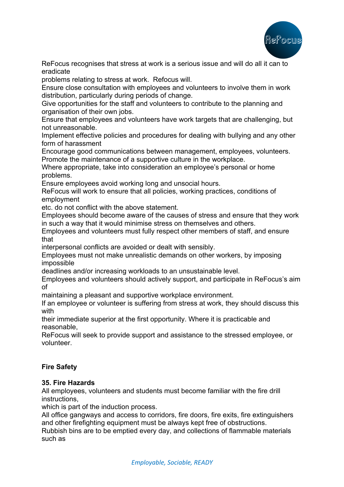

ReFocus recognises that stress at work is a serious issue and will do all it can to eradicate

problems relating to stress at work. Refocus will.

Ensure close consultation with employees and volunteers to involve them in work distribution, particularly during periods of change.

Give opportunities for the staff and volunteers to contribute to the planning and organisation of their own jobs.

Ensure that employees and volunteers have work targets that are challenging, but not unreasonable.

Implement effective policies and procedures for dealing with bullying and any other form of harassment

Encourage good communications between management, employees, volunteers. Promote the maintenance of a supportive culture in the workplace.

Where appropriate, take into consideration an employee's personal or home problems.

Ensure employees avoid working long and unsocial hours.

ReFocus will work to ensure that all policies, working practices, conditions of employment

etc. do not conflict with the above statement.

Employees should become aware of the causes of stress and ensure that they work in such a way that it would minimise stress on themselves and others.

Employees and volunteers must fully respect other members of staff, and ensure that

interpersonal conflicts are avoided or dealt with sensibly.

Employees must not make unrealistic demands on other workers, by imposing impossible

deadlines and/or increasing workloads to an unsustainable level.

Employees and volunteers should actively support, and participate in ReFocus's aim of

maintaining a pleasant and supportive workplace environment.

If an employee or volunteer is suffering from stress at work, they should discuss this with

their immediate superior at the first opportunity. Where it is practicable and reasonable,

ReFocus will seek to provide support and assistance to the stressed employee, or volunteer.

# **Fire Safety**

# **35. Fire Hazards**

All employees, volunteers and students must become familiar with the fire drill instructions,

which is part of the induction process.

All office gangways and access to corridors, fire doors, fire exits, fire extinguishers and other firefighting equipment must be always kept free of obstructions.

Rubbish bins are to be emptied every day, and collections of flammable materials such as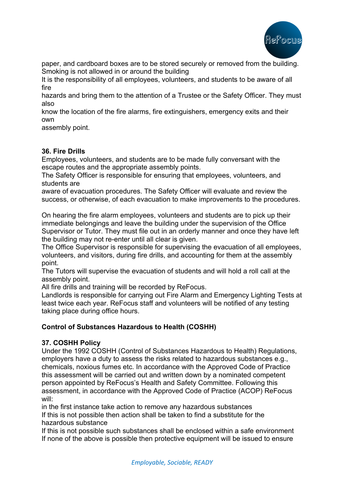

paper, and cardboard boxes are to be stored securely or removed from the building. Smoking is not allowed in or around the building

It is the responsibility of all employees, volunteers, and students to be aware of all fire

hazards and bring them to the attention of a Trustee or the Safety Officer. They must also

know the location of the fire alarms, fire extinguishers, emergency exits and their own

assembly point.

## **36. Fire Drills**

Employees, volunteers, and students are to be made fully conversant with the escape routes and the appropriate assembly points.

The Safety Officer is responsible for ensuring that employees, volunteers, and students are

aware of evacuation procedures. The Safety Officer will evaluate and review the success, or otherwise, of each evacuation to make improvements to the procedures.

On hearing the fire alarm employees, volunteers and students are to pick up their immediate belongings and leave the building under the supervision of the Office Supervisor or Tutor. They must file out in an orderly manner and once they have left the building may not re-enter until all clear is given.

The Office Supervisor is responsible for supervising the evacuation of all employees, volunteers, and visitors, during fire drills, and accounting for them at the assembly point.

The Tutors will supervise the evacuation of students and will hold a roll call at the assembly point.

All fire drills and training will be recorded by ReFocus.

Landlords is responsible for carrying out Fire Alarm and Emergency Lighting Tests at least twice each year. ReFocus staff and volunteers will be notified of any testing taking place during office hours.

# **Control of Substances Hazardous to Health (COSHH)**

# **37. COSHH Policy**

Under the 1992 COSHH (Control of Substances Hazardous to Health) Regulations, employers have a duty to assess the risks related to hazardous substances e.g., chemicals, noxious fumes etc. In accordance with the Approved Code of Practice this assessment will be carried out and written down by a nominated competent person appointed by ReFocus's Health and Safety Committee. Following this assessment, in accordance with the Approved Code of Practice (ACOP) ReFocus will:

in the first instance take action to remove any hazardous substances If this is not possible then action shall be taken to find a substitute for the hazardous substance

If this is not possible such substances shall be enclosed within a safe environment If none of the above is possible then protective equipment will be issued to ensure